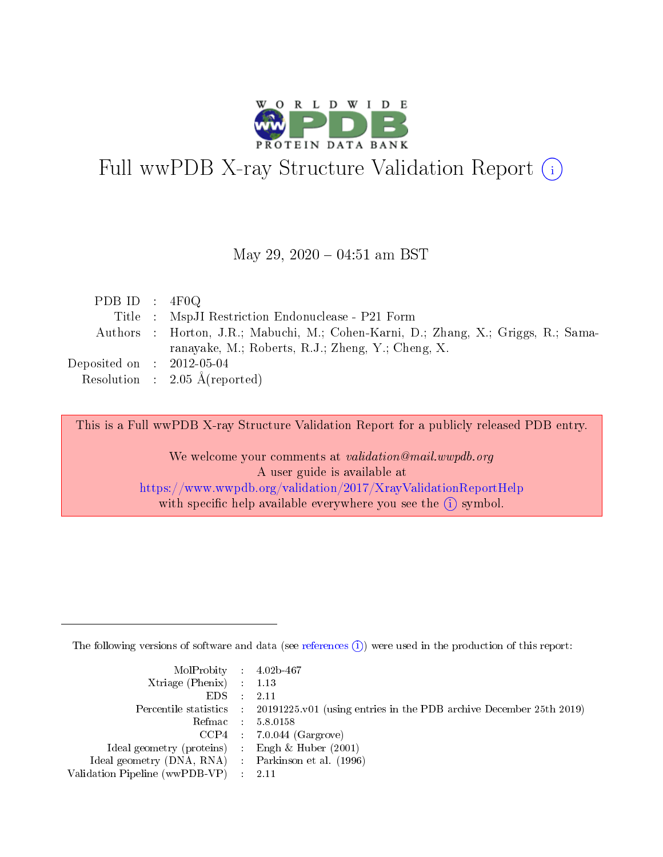

## Full wwPDB X-ray Structure Validation Report (i)

#### May 29,  $2020 - 04:51$  am BST

| PDB ID : $4F0Q$             |                                                                                    |
|-----------------------------|------------------------------------------------------------------------------------|
|                             | Title : MspJI Restriction Endonuclease - P21 Form                                  |
|                             | Authors : Horton, J.R.; Mabuchi, M.; Cohen-Karni, D.; Zhang, X.; Griggs, R.; Sama- |
|                             | ranayake, M.; Roberts, R.J.; Zheng, Y.; Cheng, X.                                  |
| Deposited on : $2012-05-04$ |                                                                                    |
|                             | Resolution : $2.05 \text{ Å}$ (reported)                                           |

This is a Full wwPDB X-ray Structure Validation Report for a publicly released PDB entry.

We welcome your comments at validation@mail.wwpdb.org A user guide is available at <https://www.wwpdb.org/validation/2017/XrayValidationReportHelp> with specific help available everywhere you see the  $(i)$  symbol.

The following versions of software and data (see [references](https://www.wwpdb.org/validation/2017/XrayValidationReportHelp#references)  $(i)$ ) were used in the production of this report:

| MolProbity : 4.02b-467                              |                                                                                            |
|-----------------------------------------------------|--------------------------------------------------------------------------------------------|
| Xtriage (Phenix) $: 1.13$                           |                                                                                            |
| $EDS = 2.11$                                        |                                                                                            |
|                                                     | Percentile statistics : 20191225.v01 (using entries in the PDB archive December 25th 2019) |
|                                                     | Refmac : 5.8.0158                                                                          |
|                                                     | $CCP4$ : 7.0.044 (Gargrove)                                                                |
| Ideal geometry (proteins) : Engh $\&$ Huber (2001)  |                                                                                            |
| Ideal geometry (DNA, RNA) : Parkinson et al. (1996) |                                                                                            |
| Validation Pipeline (wwPDB-VP) : 2.11               |                                                                                            |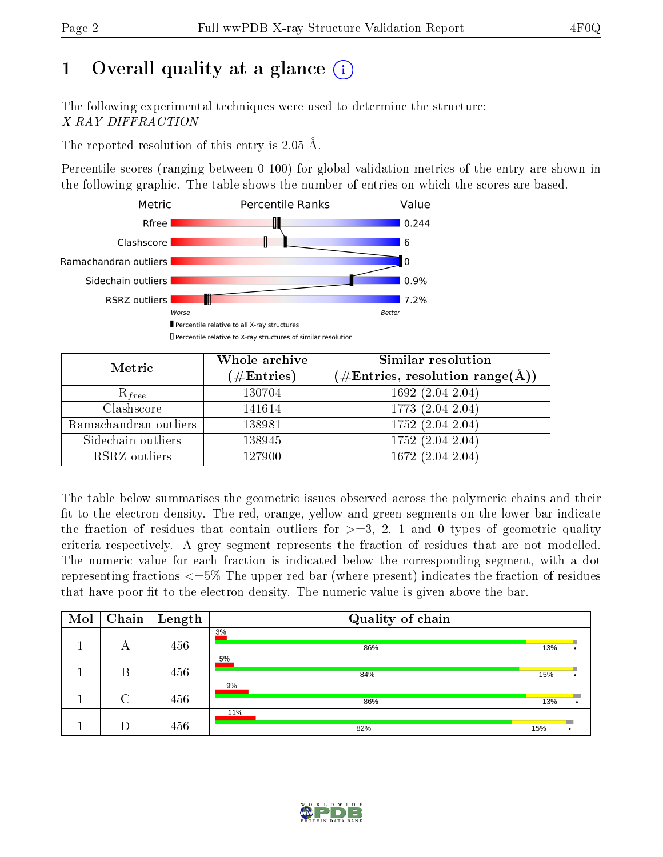## 1 [O](https://www.wwpdb.org/validation/2017/XrayValidationReportHelp#overall_quality)verall quality at a glance  $(i)$

The following experimental techniques were used to determine the structure: X-RAY DIFFRACTION

The reported resolution of this entry is 2.05 Å.

Percentile scores (ranging between 0-100) for global validation metrics of the entry are shown in the following graphic. The table shows the number of entries on which the scores are based.



| Metric                | Whole archive<br>$(\#\text{Entries})$ | <b>Similar resolution</b><br>$(\#\text{Entries}, \text{resolution range}(\text{\AA}))$ |
|-----------------------|---------------------------------------|----------------------------------------------------------------------------------------|
| $R_{free}$            | 130704                                | 1692 (2.04-2.04)                                                                       |
| Clashscore            | 141614                                | 1773 (2.04-2.04)                                                                       |
| Ramachandran outliers | 138981                                | $1752(2.04-2.04)$                                                                      |
| Sidechain outliers    | 138945                                | 1752 (2.04-2.04)                                                                       |
| RSRZ outliers         | 127900                                | $1672(2.04-2.04)$                                                                      |

The table below summarises the geometric issues observed across the polymeric chains and their fit to the electron density. The red, orange, yellow and green segments on the lower bar indicate the fraction of residues that contain outliers for  $>=3, 2, 1$  and 0 types of geometric quality criteria respectively. A grey segment represents the fraction of residues that are not modelled. The numeric value for each fraction is indicated below the corresponding segment, with a dot representing fractions  $\epsilon=5\%$  The upper red bar (where present) indicates the fraction of residues that have poor fit to the electron density. The numeric value is given above the bar.

| Mol |        | $\fbox{Chain}$ [ Length | Quality of chain |     |   |
|-----|--------|-------------------------|------------------|-----|---|
|     | А      | 456                     | 3%<br>86%        | 13% |   |
|     | В      | 456                     | 5%<br>84%        | 15% | ۰ |
|     | $\cap$ | 456                     | 9%<br>86%        | 13% |   |
|     |        | 456                     | 11%<br>82%       | 15% |   |

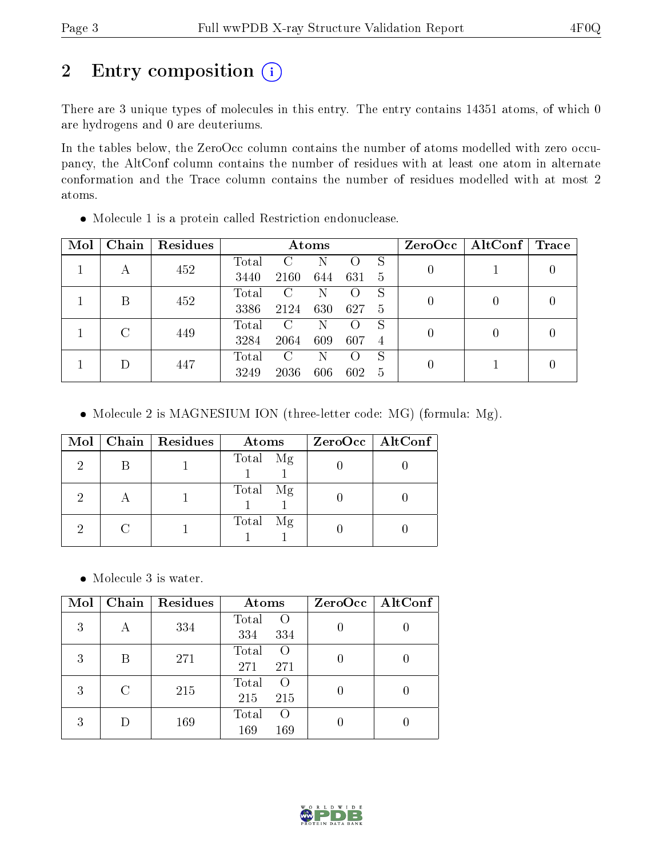## 2 Entry composition (i)

There are 3 unique types of molecules in this entry. The entry contains 14351 atoms, of which 0 are hydrogens and 0 are deuteriums.

In the tables below, the ZeroOcc column contains the number of atoms modelled with zero occupancy, the AltConf column contains the number of residues with at least one atom in alternate conformation and the Trace column contains the number of residues modelled with at most 2 atoms.

| Mol | Chain | Residues | Atoms |                        |     |                    |    | $ZeroOcc$   AltConf | Trace |   |
|-----|-------|----------|-------|------------------------|-----|--------------------|----|---------------------|-------|---|
|     |       | 452      | Total | $\left( \cdot \right)$ | N   |                    | S  |                     |       | 0 |
|     | А     |          | 3440  | 2160                   | 644 | 631                | -5 |                     |       |   |
|     | B     | 452      | Total | C                      | Ν   |                    | S  |                     |       |   |
|     |       |          | 3386  | 2124                   | 630 | 627                | 5  |                     |       | 0 |
|     | C     | 449      | Total | C                      | N   |                    | S  |                     |       |   |
|     |       |          | 3284  | 2064                   | 609 | 607                | 4  |                     | 0     | 0 |
|     |       |          | Total | C                      | Ν   | $\left( \ \right)$ | S  |                     |       |   |
| Ð   | 447   | 3249     | 2036  | 606                    | 602 | -5                 |    |                     |       |   |

Molecule 1 is a protein called Restriction endonuclease.

• Molecule 2 is MAGNESIUM ION (three-letter code: MG) (formula: Mg).

|    | $Mol$   Chain   Residues | Atoms       | $ZeroOcc \   \$ AltConf |
|----|--------------------------|-------------|-------------------------|
| 2  |                          | Total Mg    |                         |
| റ  |                          | Total Mg    |                         |
| ٠, |                          | Total<br>Mg |                         |

Molecule 3 is water.

| Mol | Chain | Residues | Atoms                                   | ZeroOcc   AltConf |
|-----|-------|----------|-----------------------------------------|-------------------|
| 3   | А     | 334      | Total<br>$\rm{O}$<br>334<br>334         |                   |
| 3   | Β     | 271      | Total<br>$\left( \right)$<br>271<br>271 |                   |
| 3   | C     | 215      | Total<br>$\left( \right)$<br>215<br>215 |                   |
| 3   |       | 169      | Total<br>$\left( \right)$<br>169<br>169 |                   |

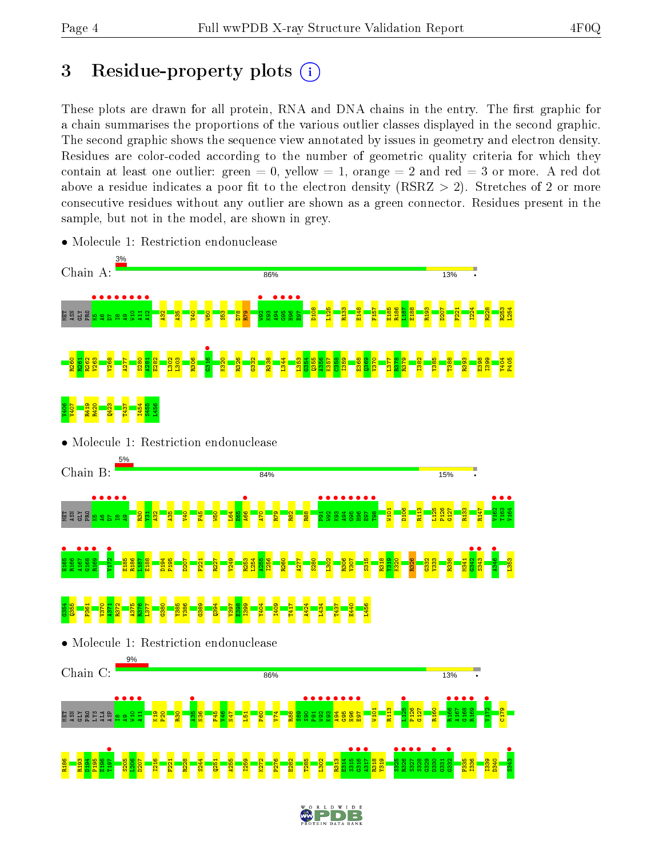## 3 Residue-property plots  $(i)$

These plots are drawn for all protein, RNA and DNA chains in the entry. The first graphic for a chain summarises the proportions of the various outlier classes displayed in the second graphic. The second graphic shows the sequence view annotated by issues in geometry and electron density. Residues are color-coded according to the number of geometric quality criteria for which they contain at least one outlier: green  $= 0$ , yellow  $= 1$ , orange  $= 2$  and red  $= 3$  or more. A red dot above a residue indicates a poor fit to the electron density (RSRZ  $> 2$ ). Stretches of 2 or more consecutive residues without any outlier are shown as a green connector. Residues present in the sample, but not in the model, are shown in grey.



• Molecule 1: Restriction endonuclease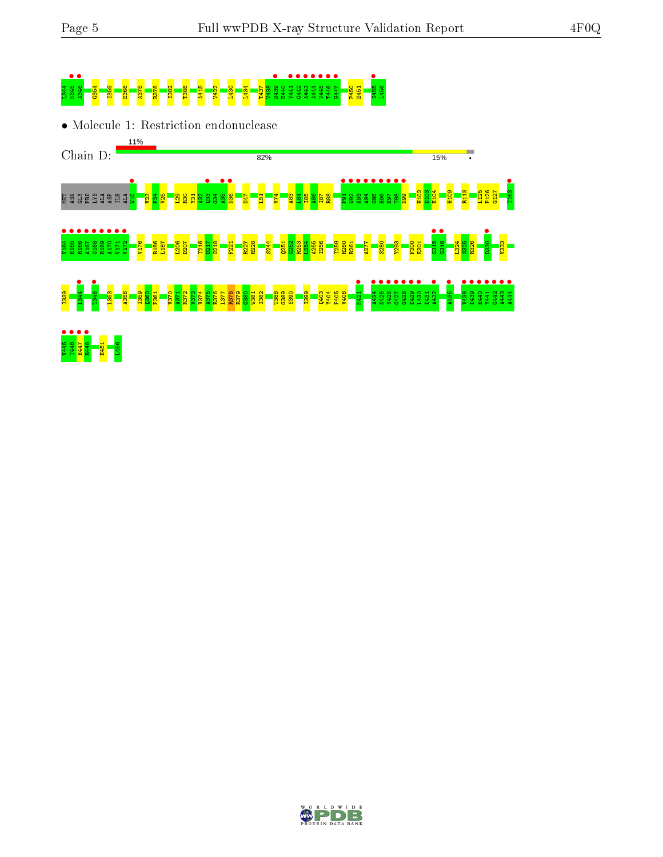# L344 K345 • A346 • G354 I359 E368 A375 R378 I382 T388 A415 V422 L430 L434 T437 V438 D439 • E440 Y441 • G442 • A443 • A444 • V445 • T446 • H447 • P450 E451 S455 • L456

• Molecule 1: Restriction endonuclease



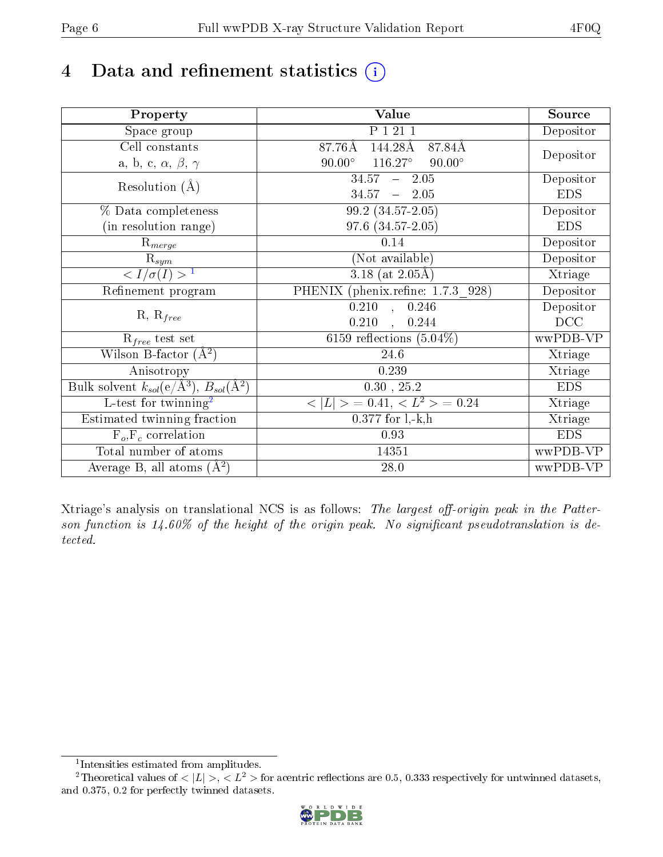## 4 Data and refinement statistics  $(i)$

| Property                                                             | Value                                              | Source     |
|----------------------------------------------------------------------|----------------------------------------------------|------------|
| Space group                                                          | P 1 21 1                                           | Depositor  |
| Cell constants                                                       | 144.28Å<br>87.84Å<br>87.76Å                        |            |
| a, b, c, $\alpha$ , $\beta$ , $\gamma$                               | $116.27^{\circ}$<br>$90.00^\circ$<br>$90.00^\circ$ | Depositor  |
| Resolution $(A)$                                                     | $-2.05$<br>34.57                                   | Depositor  |
|                                                                      | 34.57<br>$-2.05$                                   | <b>EDS</b> |
| % Data completeness                                                  | $99.2(34.57-2.05)$                                 | Depositor  |
| (in resolution range)                                                | 97.6 (34.57-2.05)                                  | <b>EDS</b> |
| $\mathrm{R}_{merge}$                                                 | 0.14                                               | Depositor  |
| $\mathrm{R}_{sym}$                                                   | (Not available)                                    | Depositor  |
| $\langle I/\sigma(I) \rangle^{-1}$                                   | 3.18 (at $2.05\text{\AA}$ )                        | Xtriage    |
| Refinement program                                                   | PHENIX (phenix.refine: 1.7.3 928)                  | Depositor  |
|                                                                      | 0.246<br>$\overline{0.210}$ ,                      | Depositor  |
| $R, R_{free}$                                                        | 0.210<br>0.244<br>$\overline{\phantom{a}}$         | DCC        |
| $R_{free}$ test set                                                  | 6159 reflections $(5.04\%)$                        | wwPDB-VP   |
| Wilson B-factor $(A^2)$                                              | 24.6                                               | Xtriage    |
| Anisotropy                                                           | 0.239                                              | Xtriage    |
| Bulk solvent $k_{sol}(e/\mathring{A}^3)$ , $B_{sol}(\mathring{A}^2)$ | $0.30\,$ , $25.2\,$                                | <b>EDS</b> |
| $\overline{\text{L-test}$ for twinning <sup>2</sup>                  | $< L >$ = 0.41, $< L2 >$ = 0.24                    | Xtriage    |
| Estimated twinning fraction                                          | $0.377$ for $1, -k, h$                             | Xtriage    |
| $F_o, F_c$ correlation                                               | 0.93                                               | <b>EDS</b> |
| Total number of atoms                                                | 14351                                              | wwPDB-VP   |
| Average B, all atoms $(A^2)$                                         | 28.0                                               | wwPDB-VP   |

Xtriage's analysis on translational NCS is as follows: The largest off-origin peak in the Patterson function is  $14.60\%$  of the height of the origin peak. No significant pseudotranslation is detected.

<sup>&</sup>lt;sup>2</sup>Theoretical values of  $\langle |L| \rangle$ ,  $\langle L^2 \rangle$  for acentric reflections are 0.5, 0.333 respectively for untwinned datasets, and 0.375, 0.2 for perfectly twinned datasets.



<span id="page-5-1"></span><span id="page-5-0"></span><sup>1</sup> Intensities estimated from amplitudes.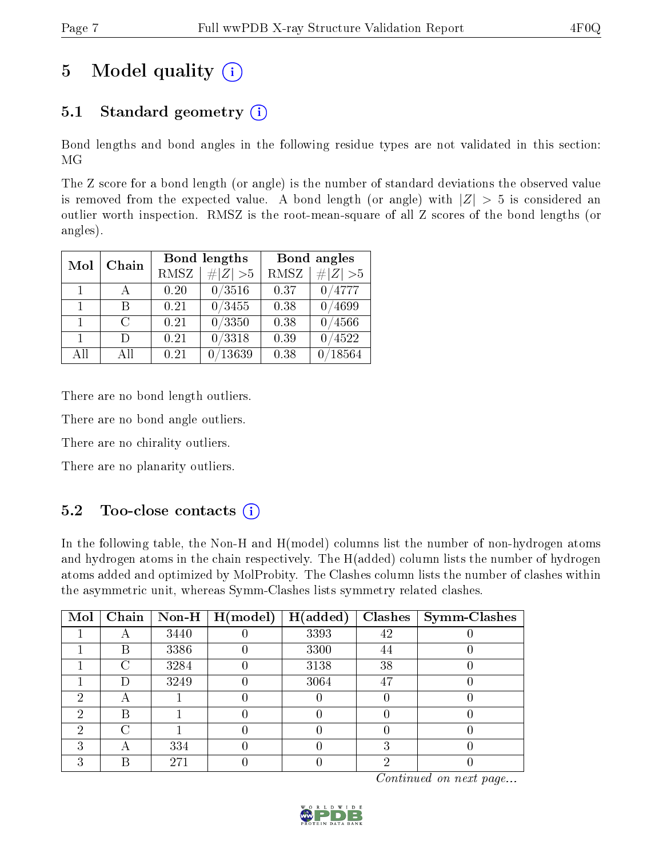## 5 Model quality  $(i)$

## 5.1 Standard geometry  $(i)$

Bond lengths and bond angles in the following residue types are not validated in this section: MG

The Z score for a bond length (or angle) is the number of standard deviations the observed value is removed from the expected value. A bond length (or angle) with  $|Z| > 5$  is considered an outlier worth inspection. RMSZ is the root-mean-square of all Z scores of the bond lengths (or angles).

| Mol          | Chain                       |             | Bond lengths | Bond angles |             |
|--------------|-----------------------------|-------------|--------------|-------------|-------------|
|              |                             | <b>RMSZ</b> | $\# Z  > 5$  | <b>RMSZ</b> | $\ Z\  > 5$ |
| $\mathbf{1}$ |                             | 0.20        | 0/3516       | 0.37        | 0/4777      |
| $\mathbf{1}$ | В                           | 0.21        | 0/3455       | 0.38        | 0/4699      |
| $\mathbf{1}$ | $\mathcal{C}_{\mathcal{C}}$ | 0.21        | 0/3350       | 0.38        | /4566       |
| $\mathbf{1}$ | Ð                           | 0.21        | 0/3318       | 0.39        | /4522       |
| AH           | Αll                         | 0.21        | 13639        | 0.38        | 18564       |

There are no bond length outliers.

There are no bond angle outliers.

There are no chirality outliers.

There are no planarity outliers.

### $5.2$  Too-close contacts  $(i)$

In the following table, the Non-H and H(model) columns list the number of non-hydrogen atoms and hydrogen atoms in the chain respectively. The H(added) column lists the number of hydrogen atoms added and optimized by MolProbity. The Clashes column lists the number of clashes within the asymmetric unit, whereas Symm-Clashes lists symmetry related clashes.

| Mol | Chain  |      | $\sqrt{\text{Non-H} \mid \text{H}(\text{model})}$ | H(added) | <b>Clashes</b> | $\vert$ Symm-Clashes |
|-----|--------|------|---------------------------------------------------|----------|----------------|----------------------|
|     |        | 3440 |                                                   | 3393     | 42             |                      |
|     | B      | 3386 |                                                   | 3300     | 44             |                      |
|     | $\cap$ | 3284 |                                                   | 3138     | 38             |                      |
|     |        | 3249 |                                                   | 3064     | 47             |                      |
| 6)  |        |      |                                                   |          |                |                      |
| 2   | В      |      |                                                   |          |                |                      |
| ച   |        |      |                                                   |          |                |                      |
|     |        | 334  |                                                   |          | 3              |                      |
|     |        | 271  |                                                   |          |                |                      |

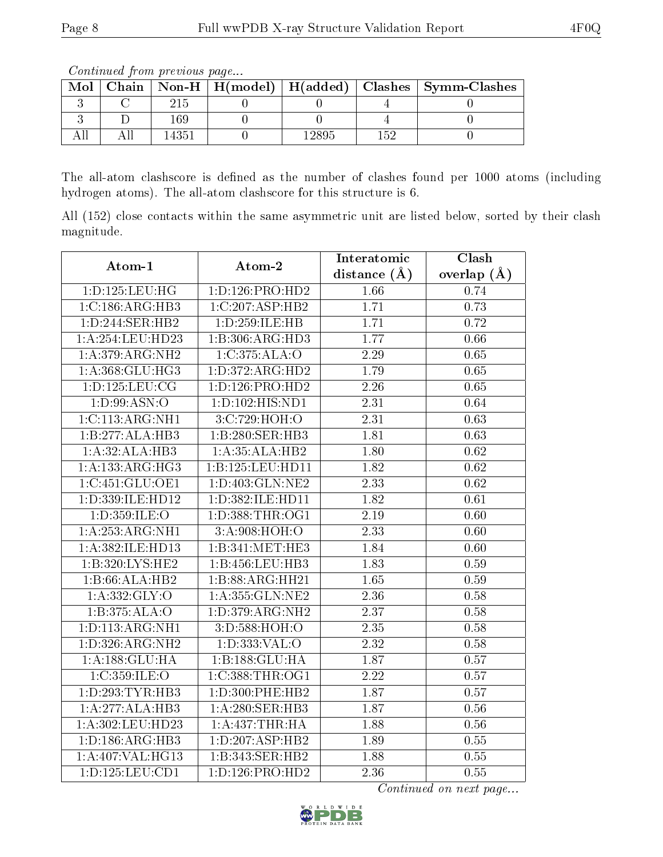The all-atom clashscore is defined as the number of clashes found per 1000 atoms (including hydrogen atoms). The all-atom clashscore for this structure is 6.

All (152) close contacts within the same asymmetric unit are listed below, sorted by their clash magnitude.

| Atom-1              | Atom-2              | Interatomic       | Clash           |
|---------------------|---------------------|-------------------|-----------------|
|                     |                     | distance $(\AA)$  | overlap $(\AA)$ |
| 1: D: 125: LEU: HG  | 1: D: 126: PRO: HD2 | 1.66              | 0.74            |
| 1:C:186:ARG:HB3     | 1:C:207:ASP:HB2     | 1.71              | 0.73            |
| 1:D:244:SER:HB2     | 1:D:259:ILE:HB      | 1.71              | 0.72            |
| 1:A:254:LEU:HD23    | 1:B:306:ARG:HD3     | 1.77              | 0.66            |
| 1:A:379:ARG:NH2     | 1:C:375:ALA:O       | 2.29              | 0.65            |
| 1: A:368: GLU:HG3   | 1:D:372:ARG:HD2     | 1.79              | 0.65            |
| 1: D: 125: LEU: CG  | 1:D:126:PRO:HD2     | 2.26              | 0.65            |
| 1: D:99: ASN:O      | 1:D:102:HIS:ND1     | 2.31              | 0.64            |
| 1:C:113:ARG:NH1     | 3:C:729:HOH:O       | $\overline{2.31}$ | 0.63            |
| 1:B:277:ALA:HB3     | 1:B:280:SER:HB3     | 1.81              | 0.63            |
| 1:A:32:ALA:HB3      | 1:A:35:ALA:HB2      | 1.80              | $0.62\,$        |
| 1:A:133:ARG:HG3     | 1:B:125:LEU:HD11    | 1.82              | 0.62            |
| 1:C:451:GLU:OE1     | 1:D:403:GLN:NE2     | $\overline{2.33}$ | $0.62\,$        |
| 1:D:339:ILE:HD12    | 1:D:382:ILE:HD11    | 1.82              | 0.61            |
| 1:D:359:ILE:O       | 1: D: 388: THR: OG1 | 2.19              | 0.60            |
| 1:A:253:ARG:NH1     | 3:A:908:HOH:O       | 2.33              | 0.60            |
| 1:A:382:ILE:HD13    | 1:B:341:MET:HE3     | 1.84              | 0.60            |
| 1:B:320:LYS:HE2     | 1:B:456:LEU:HB3     | 1.83              | 0.59            |
| 1:B:66:ALA:HB2      | 1:B:88:ARG:HH21     | $\overline{1.65}$ | 0.59            |
| 1:A:332:GLY:O       | 1: A: 355: GLN: NE2 | 2.36              | 0.58            |
| 1:B:375:ALA:O       | 1: D: 379: ARG: NH2 | $\overline{2.37}$ | 0.58            |
| 1:D:113:ARG:NH1     | 3:D:588:HOH:O       | 2.35              | 0.58            |
| 1: D: 326: ARG: NH2 | 1: D: 333: VAL: O   | 2.32              | 0.58            |
| 1: A: 188: GLU: HA  | 1:B:188:GLU:HA      | 1.87              | 0.57            |
| 1:C:359:ILE:O       | 1:C:388:THR:OG1     | $\overline{2.22}$ | 0.57            |
| 1: D: 293: TYR: HB3 | 1:D:300:PHE:HB2     | 1.87              | 0.57            |
| 1:A:277:ALA:HB3     | 1:A:280:SER:HB3     | 1.87              | 0.56            |
| 1:A:302:LEU:HD23    | 1: A: 437:THR: HA   | 1.88              | 0.56            |
| 1: D: 186: ARG: HB3 | 1:D:207:ASP:HB2     | 1.89              | 0.55            |
| 1:A:407:VAL:HG13    | 1:B:343:SER:HB2     | 1.88              | 0.55            |
| 1: D: 125: LEU: CD1 | 1:D:126:PRO:HD2     | 2.36              | 0.55            |



Mol | Chain | Non-H | H(model) | H(added) | Clashes | Symm-Clashes  $3 \mid C \mid 215 \mid 0 \mid 0 \mid 4 \mid 0$ 3 | D | 169 | 0 | 0 | 4 | 0 All | All | 14351 | 0 | 12895 | 152 | 0

Continued from previous page...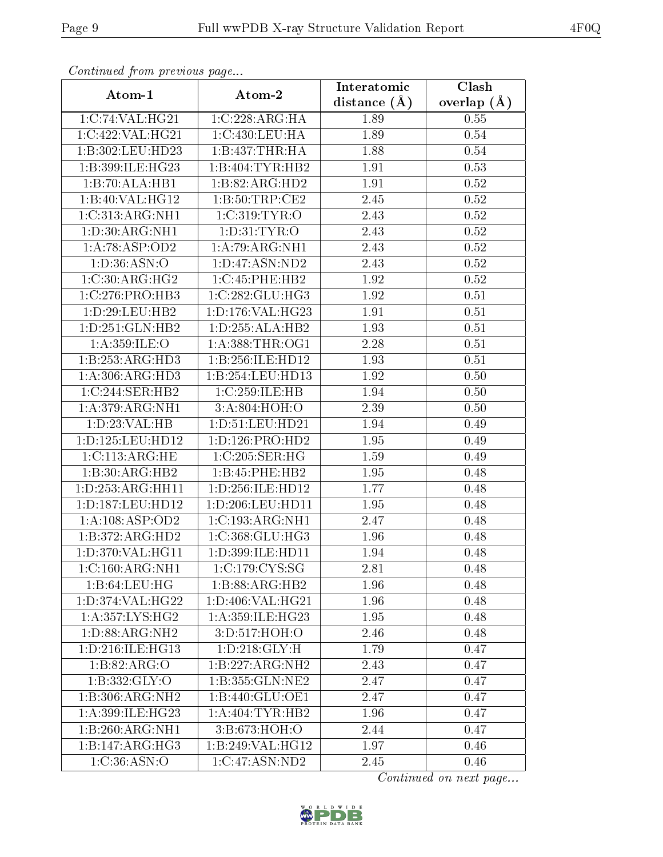| Atom-1               | Atom-2              | Interatomic    | Clash         |
|----------------------|---------------------|----------------|---------------|
|                      |                     | distance $(A)$ | overlap $(A)$ |
| 1:C:74:VAL:HG21      | 1:C:228:ARG:HA      | 1.89           | 0.55          |
| 1:C:422:VAL:HG21     | 1:C:430:LEU:HA      | 1.89           | 0.54          |
| 1:B:302:LEU:HD23     | 1:B:437:THR:HA      | 1.88           | 0.54          |
| 1:B:399:ILE:HG23     | 1:B:404:TYR:HB2     | 1.91           | 0.53          |
| 1:B:70:ALA:HB1       | 1:B:82:ARG:HD2      | 1.91           | 0.52          |
| 1:B:40:VAL:HG12      | 1: B:50:TRP:CE2     | 2.45           | 0.52          |
| 1:C:313:ARG:NH1      | 1:C:319:TYR:O       | 2.43           | 0.52          |
| 1: D:30: ARG: NH1    | 1: D: 31: TYR: O    | 2.43           | 0.52          |
| 1:A:78:ASP:OD2       | 1:A:79:ARG:NH1      | 2.43           | $0.52\,$      |
| 1: D: 36: ASN: O     | 1: D: 47: ASN: ND2  | 2.43           | 0.52          |
| 1:C:30:ARG:HG2       | 1:C:45:PHE:HB2      | 1.92           | 0.52          |
| 1: C: 276: PRO: HB3  | 1:C:282:GLU:HG3     | 1.92           | 0.51          |
| 1:D:29:LEU:HB2       | 1: D: 176: VAL:HG23 | 1.91           | 0.51          |
| 1:D:251:GLN:HB2      | 1:D:255:ALA:HB2     | 1.93           | 0.51          |
| 1: A:359: ILE: O     | 1: A:388:THR:OG1    | 2.28           | 0.51          |
| 1:B:253:ARG:HD3      | 1:B:256:ILE:HD12    | 1.93           | 0.51          |
| 1:A:306:ARG:HD3      | 1:B:254:LEU:HD13    | 1.92           | 0.50          |
| 1:C:244:SER:HB2      | 1:C:259:ILE:HB      | 1.94           | 0.50          |
| 1: A:379: ARG: NH1   | 3:A:804:HOH:O       | 2.39           | 0.50          |
| 1:D:23:VAL:HB        | 1: D: 51: LEU: HD21 | 1.94           | 0.49          |
| 1:D:125:LEU:HD12     | 1: D: 126: PRO: HD2 | 1.95           | 0.49          |
| 1:C:113:ARG:HE       | 1:C:205:SER:HG      | 1.59           | 0.49          |
| 1:B:30:ARG:HB2       | 1:B:45:PHE:HB2      | 1.95           | 0.48          |
| 1: D: 253: ARG: HH11 | 1:D:256:ILE:HD12    | 1.77           | 0.48          |
| 1: D: 187: LEU: HD12 | 1:D:206:LEU:HD11    | 1.95           | 0.48          |
| 1: A: 108: ASP: OD2  | 1:C:193:ARG:NH1     | 2.47           | 0.48          |
| 1:B:372:ARG:HD2      | 1:C:368:GLU:HG3     | 1.96           | 0.48          |
| 1:D:370:VAL:HG11     | 1:D:399:ILE:HD11    | 1.94           | 0.48          |
| 1:C:160:ARG:NH1      | 1:C:179:CYS:SG      | 2.81           | 0.48          |
| 1:B:64:LEU:HG        | 1:B:88:ARG:HB2      | 1.96           | 0.48          |
| 1:D:374:VAL:HG22     | 1:D:406:VAL:HG21    | 1.96           | 0.48          |
| 1: A:357: LYS: HG2   | 1: A:359: ILE: HG23 | 1.95           | 0.48          |
| 1: D: 88: ARG: NH2   | 3: D: 517: HOH: O   | 2.46           | 0.48          |
| 1:D:216:ILE:HG13     | 1: D: 218: GLY: H   | 1.79           | 0.47          |
| 1: B:82: ARG:O       | 1:B:227:ARG:NH2     | 2.43           | 0.47          |
| 1:B:332:GLY:O        | 1:B:355:GLN:NE2     | 2.47           | 0.47          |
| 1:B:306:ARG:NH2      | 1:B:440:GLU:OE1     | 2.47           | 0.47          |
| 1:A:399:ILE:HG23     | 1: A:404:TYR:HB2    | 1.96           | 0.47          |
| 1:B:260:ARG:NH1      | 3:B:673:HOH:O       | 2.44           | 0.47          |
| 1:B:147:ARG:HG3      | 1:B:249:VAL:HG12    | 1.97           | 0.46          |
| 1:C:36:ASN:O         | 1:C:47:ASN:ND2      | 2.45           | 0.46          |

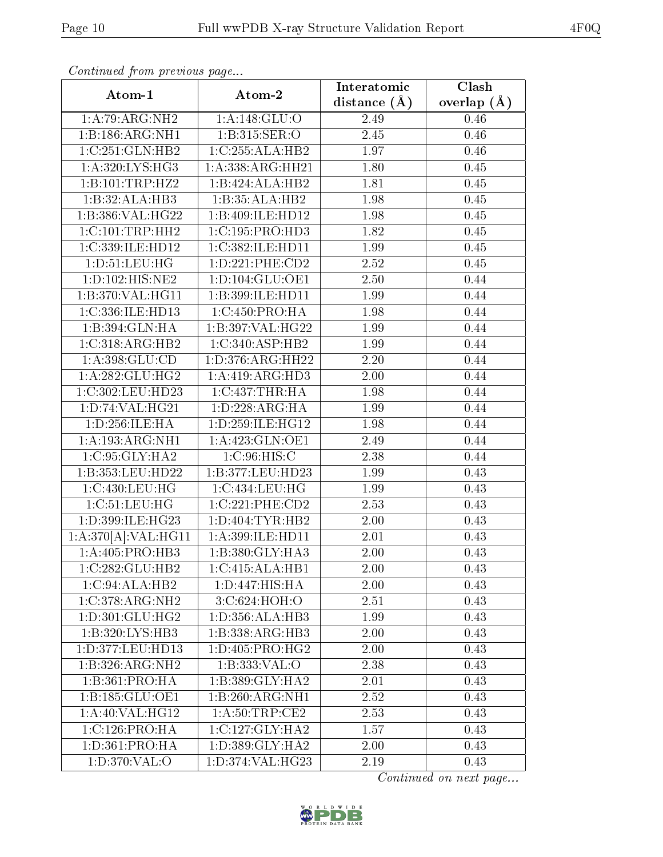| Atom-1                              | Atom-2              | Interatomic    | Clash         |
|-------------------------------------|---------------------|----------------|---------------|
|                                     |                     | distance $(A)$ | overlap $(A)$ |
| 1:A:79:ARG:NH2                      | 1:A:148:GLU:O       | 2.49           | 0.46          |
| 1:B:186:ARG:NH1                     | 1:B:315:SER:O       | 2.45           | 0.46          |
| 1:C:251:GLN:HB2                     | 1:C:255:ALA:HB2     | 1.97           | 0.46          |
| 1: A:320: LYS: HG3                  | 1:A:338:ARG:HH21    | 1.80           | 0.45          |
| 1:B:101:TRP:HZ2                     | 1:B:424:ALA:HB2     | 1.81           | 0.45          |
| 1:B:32:ALA:HB3                      | 1:B:35:ALA:HB2      | 1.98           | $0.45\,$      |
| 1:B:386:VAL:H G22                   | 1:B:409:ILE:HD12    | 1.98           | 0.45          |
| 1:C:101:TRP:HH2                     | 1: C: 195: PRO: HD3 | 1.82           | 0.45          |
| 1:C:339:ILE:HD12                    | 1:C:382:ILE:HD11    | 1.99           | 0.45          |
| 1: D: 51: LEU: HG                   | 1: D: 221: PHE: CD2 | 2.52           | 0.45          |
| 1:D:102:HIS:NE2                     | 1: D: 104: GLU: OE1 | 2.50           | 0.44          |
| 1:B:370:VAL:HG11                    | 1:B:399:ILE:HD11    | 1.99           | 0.44          |
| 1:C:336:ILE:HD13                    | 1:C:450:PRO:HA      | 1.98           | 0.44          |
| 1:B:394:GLN:HA                      | 1:B:397:VAL:HG22    | 1.99           | 0.44          |
| 1:C:318:ARG:HB2                     | 1:C:340:ASP:HB2     | 1.99           | 0.44          |
| 1: A: 398: GLU: CD                  | 1:D:376:ARG:HH22    | 2.20           | 0.44          |
| 1:A:282:GLU:HG2                     | 1:A:419:ARG:HD3     | 2.00           | 0.44          |
| 1:C:302:LEU:HD23                    | 1:C:437:THR:HA      | 1.98           | 0.44          |
| 1: D: 74: VAL:HG21                  | 1: D: 228: ARG: HA  | 1.99           | 0.44          |
| 1:D:256:ILE:HA                      | 1:D:259:ILE:HG12    | 1.98           | 0.44          |
| 1:A:193:ARG:NH1                     | 1: A: 423: GLN: OE1 | 2.49           | 0.44          |
| 1:C:95:GLY:HA2                      | 1: C:96: HIS:C      | 2.38           | 0.44          |
| 1:B:353:LEU:HD22                    | 1:B:377:LEU:HD23    | 1.99           | 0.43          |
| 1:C:430:LEU:HG                      | 1:C:434:LEU:HG      | 1.99           | 0.43          |
| 1:C:51:LEU:HG                       | 1:C:221:PHE:CD2     | 2.53           | 0.43          |
| 1:D:399:ILE:HG23                    | 1: D: 404: TYR: HB2 | 2.00           | 0.43          |
| 1:A:370[A]:VAL:H <sub>G11</sub>     | $1:$ A:399:ILE:HD11 | 2.01           | 0.43          |
| 1:A:405:PRO:HB3                     | 1:B:380:GLY:HA3     | 2.00           | 0.43          |
| 1:C:282:GLU:HB2                     | 1:C:415:ALA:HB1     | 2.00           | 0.43          |
| 1:C:94:ALA:HB2                      | 1: D: 447: HIS: HA  | 2.00           | 0.43          |
| 1:C:378:ARG:NH2                     | 3:C:624:HOH:O       | 2.51           | 0.43          |
| 1: D: 301: GLU: HG2                 | 1: D: 356: ALA: HB3 | 1.99           | 0.43          |
| 1:B:320:LYS:HB3                     | 1:B:338:ARG:HB3     | 2.00           | 0.43          |
| 1:D:377:LEU:HD13                    | 1:D:405:PRO:HG2     | 2.00           | 0.43          |
| 1:B:326:ARG:NH2                     | 1:B:333:VAL:O       | 2.38           | 0.43          |
| 1:B:361:PRO:HA                      | 1:B:389:GLY:HA2     | 2.01           | 0.43          |
| 1:B:185:GLU:OE1                     | 1:B:260:ARG:NH1     | 2.52           | 0.43          |
| $1:A:40:\overline{\text{VAL}:HG12}$ | 1: A:50:TRP:CE2     | 2.53           | 0.43          |
| 1:C:126:PRO:HA                      | 1:C:127:GLY:HA2     | 1.57           | 0.43          |
| 1: D: 361: PRO: HA                  | 1:D:389:GLY:HA2     | 2.00           | 0.43          |
| 1: D:370: VAL:O                     | 1:D:374:VAL:HG23    | 2.19           | 0.43          |

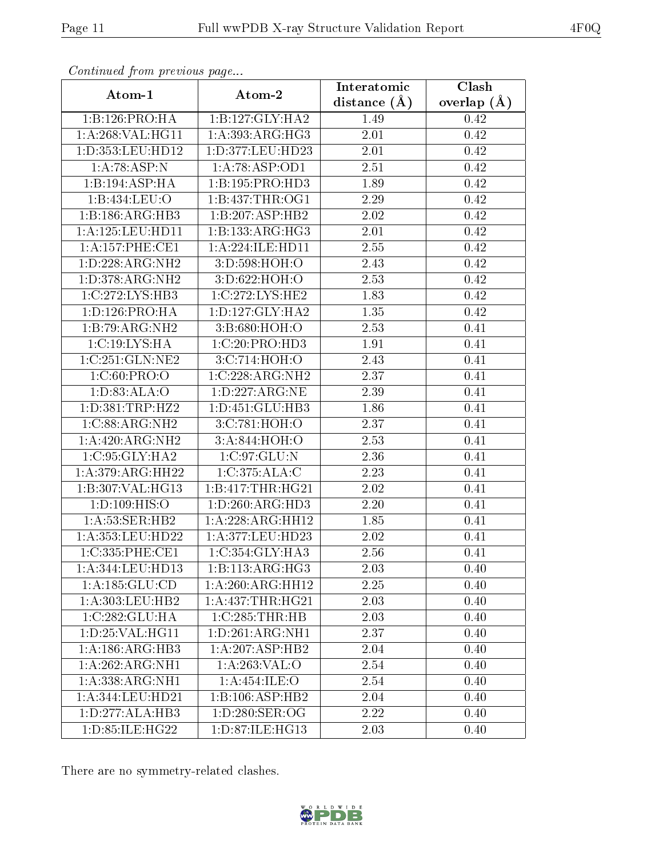|                      |                              | Interatomic       | Clash         |
|----------------------|------------------------------|-------------------|---------------|
| Atom-1               | Atom-2                       | distance $(\AA)$  | overlap $(A)$ |
| 1:B:126:PRO:HA       | 1:B:127:GLY:HA2              | 1.49              | 0.42          |
| 1:A:268:VAL:HG11     | 1: A: 393:ARG:HG3            | 2.01              | 0.42          |
| 1:D:353:LEU:HD12     | 1:D:377:LEU:HD23             | $2.01\,$          | 0.42          |
| 1:A:78:ASP:N         | 1:A:78:ASP:OD1               | 2.51              | 0.42          |
| 1:B:194:ASP:HA       | 1:B:195:PRO:HD3              | 1.89              | 0.42          |
| 1:B:434:LEU:O        | 1:B:437:THR:OG1              | 2.29              | $0.42\,$      |
| 1:B:186:ARG:HB3      | 1:B:207:ASP:HB2              | 2.02              | 0.42          |
| 1:A:125:LEU:HDI1     | 1:B:133:ARG:HG3              | 2.01              | 0.42          |
| 1:A:157:PHE:CE1      | 1:A:224:ILE:HD11             | 2.55              | 0.42          |
| 1:D:228:ARG:NH2      | 3:D:598:HOH:O                | 2.43              | $0.42\,$      |
| 1:D:378:ARG:NH2      | 3:D:622:HOH:O                | 2.53              | 0.42          |
| 1:C:272:LYS:HB3      | 1:C:272:LYS:HE2              | 1.83              | $0.42\,$      |
| 1: D: 126: PRO: HA   | 1: D: 127: GLY: HA2          | 1.35              | 0.42          |
| 1:B:79:ARG:NH2       | 3:B:680:HOH:O                | 2.53              | 0.41          |
| 1:C:19:LYS:HA        | 1:C:20:PRO:HD3               | 1.91              | 0.41          |
| 1:C:251:GLN:NE2      | 3:C:714:HOH:O                | 2.43              | 0.41          |
| 1:C:60:PRO:O         | 1:C:228:ARG:NH2              | 2.37              | 0.41          |
| 1: D:83:ALA:O        | 1:D:227:ARG:NE               | 2.39              | 0.41          |
| 1: D: 381: TRP: HZ2  | 1:D:451:GLU:HB3              | 1.86              | 0.41          |
| 1:C:88:ARG:NH2       | 3:C:781:HOH:O                | 2.37              | 0.41          |
| 1:A:420:ARG:NH2      | 3: A:844: HOH:O              | $\overline{2.53}$ | 0.41          |
| 1:C:95:GLY:HA2       | 1:C:97:GLU:N                 | 2.36              | 0.41          |
| 1: A:379: ARG: HH22  | 1:C:375:ALA:C                | 2.23              | 0.41          |
| 1:B:307:VAL:HG13     | 1:B:417:THR:HG21             | 2.02              | 0.41          |
| 1: D: 109: HIS: O    | 1: D:260: ARG:HD3            | $2.20\,$          | 0.41          |
| 1: A:53: SER:HB2     | 1:A:228:ARG:HH12             | 1.85              | 0.41          |
| 1: A: 353: LEU: HD22 | 1:A:377:LEU:HD23             | 2.02              | 0.41          |
| 1:C:335:PHE:CE1      | 1:C:354:GLY:HA3              | 2.56              | 0.41          |
| 1:A:344:LEU:HD13     | $1:B:113:ARG:\overline{HG3}$ | 2.03              | 0.40          |
| 1: A: 185: GLU: CD   | 1:A:260:ARG:HH12             | 2.25              | 0.40          |
| 1:A:303:LEU:HB2      | 1: A: 437: THR: HG21         | 2.03              | 0.40          |
| 1:C:282:GLU:HA       | 1:C:285:THR:HB               | 2.03              | 0.40          |
| 1: D: 25: VAL:HGI1   | 1:D:261:ARG:NH1              | 2.37              | 0.40          |
| 1:A:186:ARG:HB3      | 1:A:207:ASP:HB2              | 2.04              | 0.40          |
| 1:A:262:ARG:NH1      | 1:A:263:VAL:O                | 2.54              | 0.40          |
| 1:A:338:ARG:NH1      | 1: A:454: ILE: O             | 2.54              | 0.40          |
| 1:A:344:LEU:HD21     | 1:B:106:ASP:HB2              | 2.04              | 0.40          |
| 1: D: 277: ALA: HB3  | 1:D:280:SER:OG               | 2.22              | 0.40          |
| 1:D:85:ILE:HG22      | 1:D:87:ILE:HG13              | 2.03              | 0.40          |

There are no symmetry-related clashes.

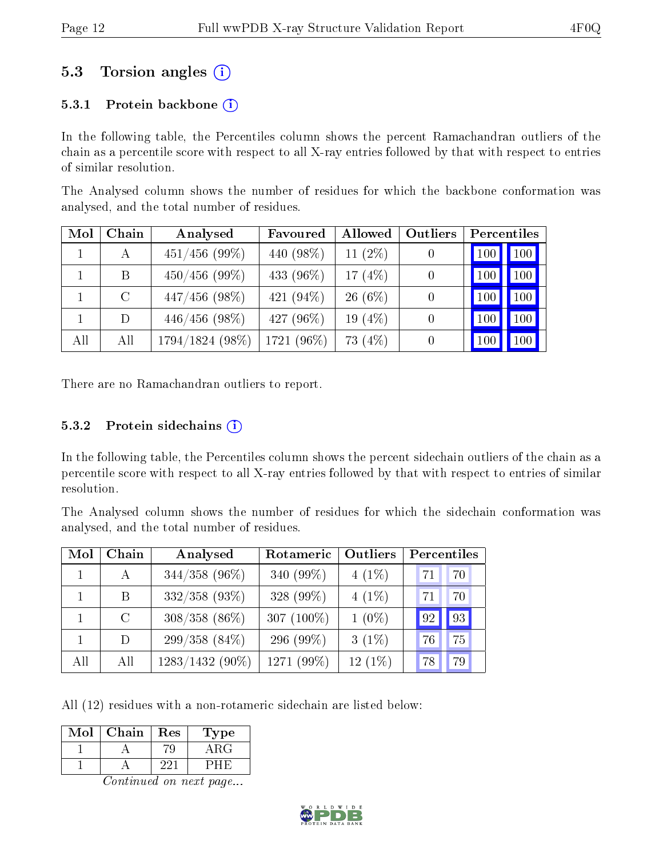### 5.3 Torsion angles (i)

#### 5.3.1 Protein backbone  $(i)$

In the following table, the Percentiles column shows the percent Ramachandran outliers of the chain as a percentile score with respect to all X-ray entries followed by that with respect to entries of similar resolution.

The Analysed column shows the number of residues for which the backbone conformation was analysed, and the total number of residues.

| Mol | Chain   | Analysed          | Favoured   | Allowed    | Outliers | Percentiles |                     |
|-----|---------|-------------------|------------|------------|----------|-------------|---------------------|
|     | A       | $451/456$ (99%)   | 440 (98%)  | 11 $(2\%)$ | 0        | 100         | $\vert$ 100 $\vert$ |
|     | B       | $450/456$ (99%)   | 433 (96\%) | 17 $(4%)$  | 0        | 100         | 100 <sub>1</sub>    |
|     | $\rm C$ | $447/456$ (98%)   | 421 (94%)  | $26(6\%)$  |          | 100         | 100                 |
|     | D       | $446/456$ (98%)   | 427 (96\%) | 19 $(4%)$  |          | 100         | 100                 |
| All | All     | $1794/1824(98\%)$ | 1721 (96%) | 73 (4%)    |          | 100         | 100.                |

There are no Ramachandran outliers to report.

#### $5.3.2$  Protein sidechains  $(i)$

In the following table, the Percentiles column shows the percent sidechain outliers of the chain as a percentile score with respect to all X-ray entries followed by that with respect to entries of similar resolution.

The Analysed column shows the number of residues for which the sidechain conformation was analysed, and the total number of residues.

| Mol | Chain         | Analysed        | Rotameric     | Outliers  | Percentiles |    |
|-----|---------------|-----------------|---------------|-----------|-------------|----|
|     | $\mathbf{A}$  | $344/358$ (96%) | 340 (99%)     | $4(1\%)$  | 71          | 70 |
|     | B.            | $332/358$ (93%) | 328 (99%)     | $4(1\%)$  | 71          | 70 |
|     | $\mathcal{C}$ | $308/358$ (86%) | 307 $(100\%)$ | $1(0\%)$  | 92          | 93 |
|     | D             | $299/358(84\%)$ | 296 (99%)     | $3(1\%)$  | 76          | 75 |
| All | All           | 1283/1432 (90%) | 1271 (99%)    | $12(1\%)$ | 78          | 79 |

All (12) residues with a non-rotameric sidechain are listed below:

| Mol | Chain | Res | <b>Type</b> |
|-----|-------|-----|-------------|
|     |       |     |             |
|     |       |     |             |

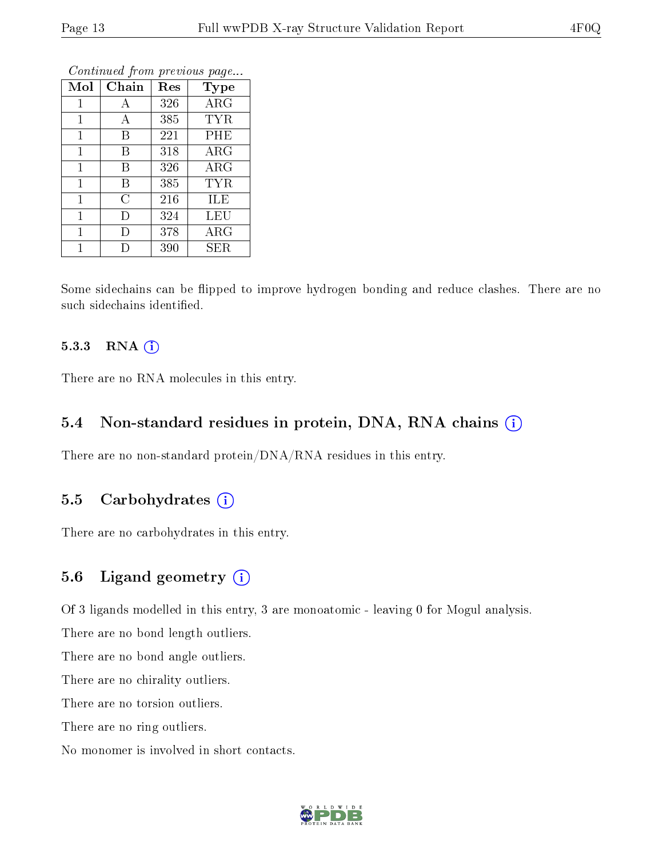| Mol          | Chain          | Res | Type       |
|--------------|----------------|-----|------------|
| $\mathbf{1}$ | А              | 326 | ARG        |
| 1            | А              | 385 | TYR        |
| 1            | В              | 221 | PHE        |
| $\mathbf{1}$ | B              | 318 | $\rm{ARG}$ |
| 1            | В              | 326 | $\rm{ARG}$ |
| $\mathbf{1}$ | Β              | 385 | TYR        |
| 1            | $\overline{C}$ | 216 | ILE        |
| 1            | I)             | 324 | LEU        |
| 1            | I)             | 378 | $\rm{ARG}$ |
| 1            |                | 390 | SER        |

Some sidechains can be flipped to improve hydrogen bonding and reduce clashes. There are no such sidechains identified.

#### 5.3.3 RNA (i)

There are no RNA molecules in this entry.

#### 5.4 Non-standard residues in protein, DNA, RNA chains  $(i)$

There are no non-standard protein/DNA/RNA residues in this entry.

#### 5.5 Carbohydrates  $(i)$

There are no carbohydrates in this entry.

#### 5.6 Ligand geometry  $(i)$

Of 3 ligands modelled in this entry, 3 are monoatomic - leaving 0 for Mogul analysis.

There are no bond length outliers.

There are no bond angle outliers.

There are no chirality outliers.

There are no torsion outliers.

There are no ring outliers.

No monomer is involved in short contacts.

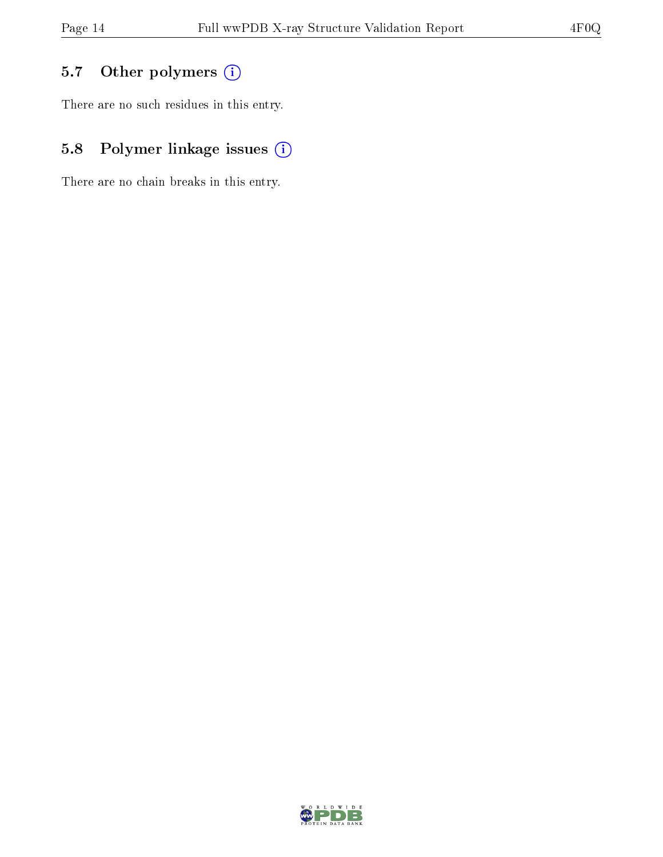## 5.7 [O](https://www.wwpdb.org/validation/2017/XrayValidationReportHelp#nonstandard_residues_and_ligands)ther polymers (i)

There are no such residues in this entry.

## 5.8 Polymer linkage issues (i)

There are no chain breaks in this entry.

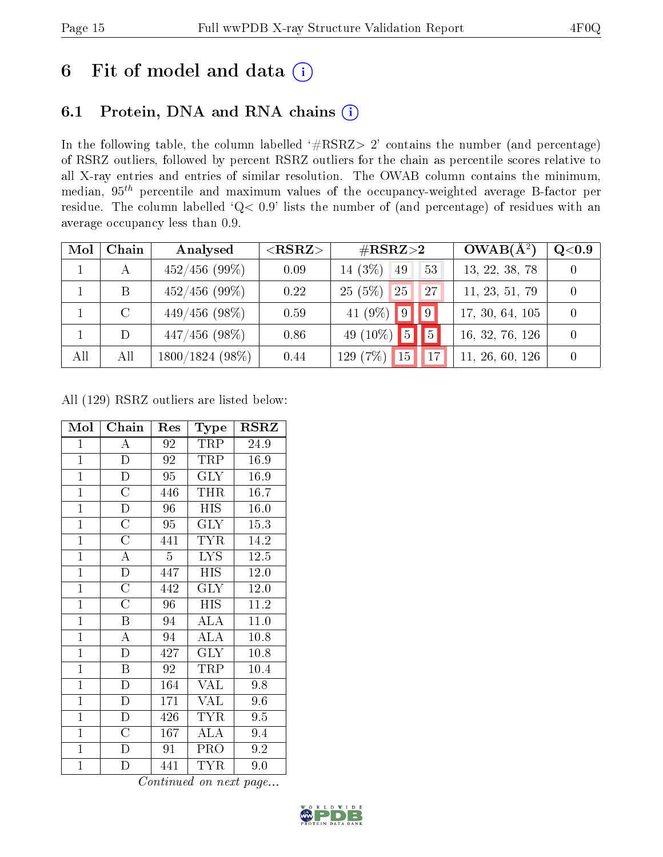## 6 Fit of model and data  $(i)$

## 6.1 Protein, DNA and RNA chains  $(i)$

In the following table, the column labelled  $#RSRZ> 2'$  contains the number (and percentage) of RSRZ outliers, followed by percent RSRZ outliers for the chain as percentile scores relative to all X-ray entries and entries of similar resolution. The OWAB column contains the minimum, median,  $95<sup>th</sup>$  percentile and maximum values of the occupancy-weighted average B-factor per residue. The column labelled ' $Q< 0.9$ ' lists the number of (and percentage) of residues with an average occupancy less than 0.9.

| Mol | Chain   | Analysed         | ${ <\hspace{-1.5pt}{\mathrm{RSRZ}} \hspace{-1.5pt}>}$ | $\#\text{RSRZ}{>}2$                     | $OWAB(A^2)$     | Q <sub>0.9</sub> |
|-----|---------|------------------|-------------------------------------------------------|-----------------------------------------|-----------------|------------------|
|     |         | $452/456$ (99%)  | 0.09                                                  | $14(3\%)$ 49<br>$-53$                   | 13, 22, 38, 78  |                  |
|     | Β       | $452/456$ (99%)  | 0.22                                                  | 25(5%)<br>125 <sub>1</sub><br><b>27</b> | 11, 23, 51, 79  |                  |
|     | $\rm C$ | $449/456$ (98\%) | 0.59                                                  | 41 (9%) 9 9                             | 17, 30, 64, 105 |                  |
|     | D       | $447/456$ (98\%) | 0.86                                                  | 49 (10\%) $\boxed{5}$<br> 5             | 16, 32, 76, 126 |                  |
| All | All     | 1800/1824 (98%)  | 0.44                                                  | 129 (7%)<br>15<br>17                    | 11, 26, 60, 126 |                  |

All (129) RSRZ outliers are listed below:

| Mol            | ${\bf Chain}$           | $\operatorname{Res}% \left( \mathcal{N}\right) \simeq\operatorname{Res}(\mathcal{N}_{0})^{\ast}$ | Type                      | $_{\rm RSRZ}$     |
|----------------|-------------------------|--------------------------------------------------------------------------------------------------|---------------------------|-------------------|
| $\mathbf{1}$   | A                       | 92                                                                                               | TRP                       | 24.9              |
| $\overline{1}$ | $\overline{\rm D}$      | 92                                                                                               | TRP                       | 16.9              |
| $\overline{1}$ | $\overline{D}$          | 95                                                                                               | <b>GLY</b>                | 16.9              |
| $\overline{1}$ | $\overline{\rm C}$      | 446                                                                                              | THR                       | 16.7              |
| $\overline{1}$ | $\overline{\rm D}$      | $\overline{96}$                                                                                  | $\overline{\mathrm{HIS}}$ | $\overline{16.0}$ |
| $\mathbf{1}$   | $\overline{C}$          | 95                                                                                               | <b>GLY</b>                | 15.3              |
| $\mathbf{1}$   | $\overline{C}$          | 441                                                                                              | <b>TYR</b>                | 14.2              |
| $\overline{1}$ | $\overline{\rm A}$      | 5                                                                                                | <b>LYS</b>                | 12.5              |
| $\overline{1}$ | $\overline{\rm D}$      | 447                                                                                              | <b>HIS</b>                | 12.0              |
| $\overline{1}$ | $\overline{\rm C}$      | 442                                                                                              | <b>GLY</b>                | 12.0              |
| $\mathbf{1}$   | $\overline{\rm C}$      | 96                                                                                               | <b>HIS</b>                | 11.2              |
| $\overline{1}$ | $\overline{\mathrm{B}}$ | 94                                                                                               | $\overline{\rm ALA}$      | 11.0              |
| $\mathbf{1}$   | A                       | 94                                                                                               | ALA                       | 10.8              |
| $\mathbf{1}$   | D                       | 427                                                                                              | $\rm GLY$                 | 10.8              |
| $\overline{1}$ | $\overline{\mathrm{B}}$ | 92                                                                                               | TRP                       | 10.4              |
| $\overline{1}$ | $\overline{\rm D}$      | 164                                                                                              | <b>VAL</b>                | 9.8               |
| $\overline{1}$ | $\mathbf D$             | 171                                                                                              | <b>VAL</b>                | 9.6               |
| $\mathbf{1}$   | D                       | 426                                                                                              | <b>TYR</b>                | 9.5               |
| $\overline{1}$ | $\overline{\rm C}$      | 167                                                                                              | ALA                       | 9.4               |
| $\mathbf{1}$   | $\mathbf D$             | 91                                                                                               | PRO                       | 9.2               |
| $\mathbf{1}$   | D                       | 441                                                                                              | <b>TYR</b>                | 9.0               |

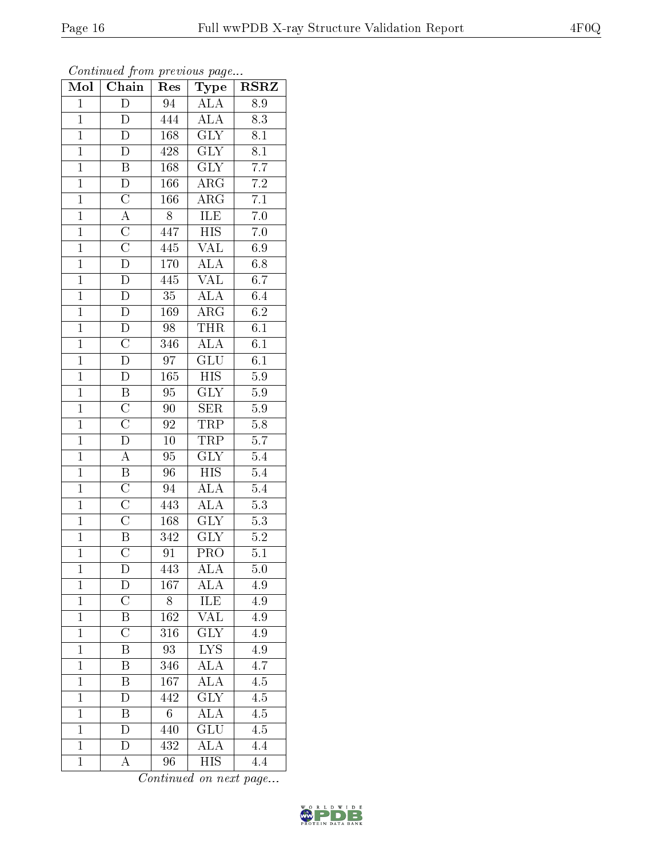| Mol            | $\cdots$ , $\cdots$<br>Chain | $\mathbf{r}$<br>Res | $\sim$ $\sim$ $\sim$<br>Type | <b>RSRZ</b>      |
|----------------|------------------------------|---------------------|------------------------------|------------------|
| $\mathbf{1}$   | $\overline{D}$               | 94                  | <b>ALA</b>                   | 8.9              |
| $\mathbf{1}$   | D                            | 444                 | ALA                          | 8.3              |
| $\overline{1}$ | D                            | 168                 | $\overline{\text{GLY}}$      | $\overline{8.1}$ |
| $\overline{1}$ | D                            | 428                 | $\overline{\text{GLY}}$      | $\overline{8.1}$ |
| $\overline{1}$ | $\overline{B}$               | 168                 | $\overline{\text{GLY}}$      | $\overline{7.7}$ |
| $\overline{1}$ | $\mathbf D$                  | 166                 | ${\rm ARG}$                  | $\overline{7.2}$ |
| $\overline{1}$ | $\overline{\rm C}$           | 166                 | $AR\overline{G}$             | $7.1\,$          |
| $\overline{1}$ | $\overline{A}$               | $\overline{8}$      | ILE                          | $\overline{7.0}$ |
| $\overline{1}$ | $\overline{C}$               | 447                 | <b>HIS</b>                   | $7.0\,$          |
| $\overline{1}$ | $\overline{\text{C}}$        | 445                 | $\overline{\text{VAL}}$      | 6.9              |
| $\mathbf{1}$   | $\overline{D}$               | 170                 | <b>ALA</b>                   | $6.8\,$          |
| $\overline{1}$ | $\overline{D}$               | 445                 | $\overline{\text{VAL}}$      | 6.7              |
| $\overline{1}$ | $\overline{D}$               | 35                  | $\overline{ALA}$             | 6.4              |
| $\overline{1}$ | $\overline{\rm D}$           | $\overline{1}69$    | $\overline{\rm{ARG}}$        | $\overline{6.2}$ |
| $\overline{1}$ | $\overline{D}$               | $\overline{98}$     | <b>THR</b>                   | $\overline{6.1}$ |
| $\mathbf{1}$   | $\overline{\rm C}$           | 346                 | $\overline{\rm ALA}$         | 6.1              |
| $\overline{1}$ | $\overline{\rm D}$           | $\overline{97}$     | $\overline{\text{GLU}}$      | $\overline{6.1}$ |
| $\overline{1}$ | $\overline{\rm D}$           | 165                 | $_{\rm HIS}$                 | 5.9              |
| $\overline{1}$ | $\overline{\mathrm{B}}$      | 95                  | $\overline{\text{GLY}}$      | $\overline{5.9}$ |
| $\overline{1}$ | $\overline{C}$               | 90                  | $\overline{\text{SER}}$      | 5.9              |
| $\overline{1}$ | $\overline{C}$               | 92                  | <b>TRP</b>                   | $\overline{5.8}$ |
| $\overline{1}$ | $\overline{\mathbf{D}}$      | $\overline{10}$     | <b>TRP</b>                   | $\overline{5.7}$ |
| $\overline{1}$ | A                            | 95                  | $\overline{\text{GLY}}$      | $\overline{5.4}$ |
| $\overline{1}$ | $\overline{\mathrm{B}}$      | 96                  | $\overline{HIS}$             | $\overline{5.4}$ |
| $\overline{1}$ | $\overline{\rm C}$           | 94                  | <b>ALA</b>                   | $\overline{5.4}$ |
| $\overline{1}$ | $\overline{\rm C}$           | 443                 | ALA                          | $5.3\,$          |
| $\overline{1}$ | $\overline{\rm C}$           | 168                 | $\overline{\text{GLY}}$      | $\overline{5.3}$ |
| $\overline{1}$ | $\overline{\mathrm{B}}$      | 342                 | $\overline{\text{GLY}}$      | 5.2              |
| $\overline{1}$ | $\overline{\rm C}$           | 91                  | $\overline{\text{PRO}}$      | $\overline{5.1}$ |
| $\mathbf 1$    | D                            | 443                 | ALA                          | 5.0              |
| $\mathbf{1}$   | D                            | 167                 | ALA                          | 4.9              |
| $\mathbf{1}$   | $\overline{\rm C}$           | 8                   | ILE                          | 4.9              |
| $\mathbf{1}$   | B                            | 162                 | $\overline{\text{VAL}}$      | 4.9              |
| $\overline{1}$ | $\overline{\text{C}}$        | $\overline{316}$    | $\overline{\text{GLY}}$      | $\overline{4.9}$ |
| $\mathbf{1}$   | Β                            | 93                  | ${\rm LYS}$                  | 4.9              |
| $\mathbf{1}$   | $\overline{\mathrm{B}}$      | 346                 | $\overline{\rm ALA}$         | $\overline{4.7}$ |
| $\mathbf{1}$   | B                            | 167                 | $\overline{\text{ALA}}$      | 4.5              |
| $\overline{1}$ | $\overline{D}$               | $\overline{442}$    | $\overline{\text{GLY}}$      | 4.5              |
| $\mathbf{1}$   | B                            | $\sqrt{6}$          | $\overline{\rm ALA}$         | $\overline{4.5}$ |
| $\mathbf{1}$   | D                            | 440                 | GLU                          | 4.5              |
| $\mathbf{1}$   | D                            | 432                 | $\overline{\rm ALA}$         | 4.4              |
| $\overline{1}$ | А                            | $\overline{96}$     | <b>HIS</b>                   | $\overline{4.4}$ |

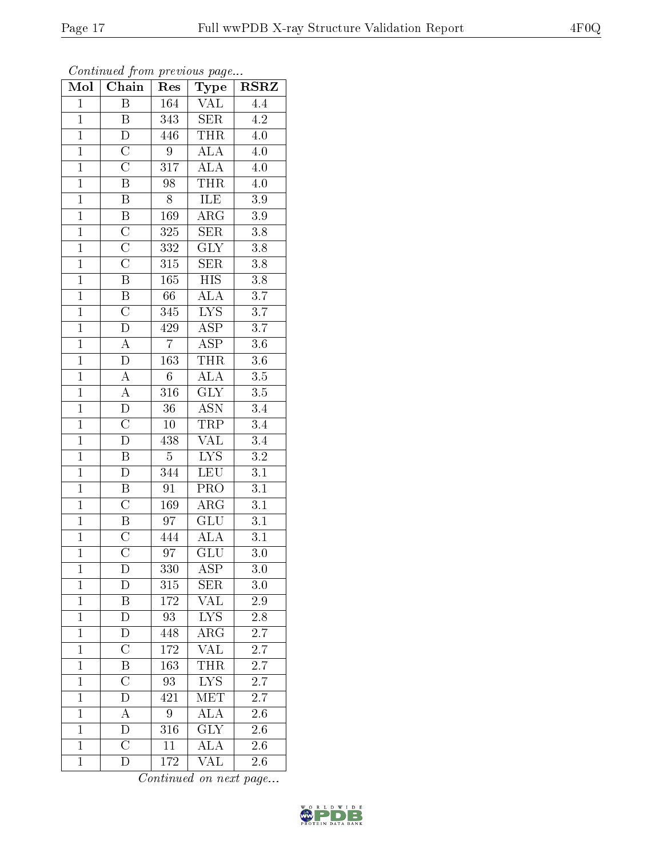| Mol            | $\overline{\text{C}}$ hain | Res              | $_{\rm Type}$           | $\overline{\text{RSR}}$ |
|----------------|----------------------------|------------------|-------------------------|-------------------------|
| $\overline{1}$ | $\overline{\mathrm{B}}$    | 164              | $\overline{\text{VAL}}$ | $\overline{4.4}$        |
| $\mathbf{1}$   | B                          | 343              | <b>SER</b>              | $\overline{4.2}$        |
| $\overline{1}$ | $\overline{\rm D}$         | 446              | <b>THR</b>              | $\overline{4.0}$        |
| $\mathbf{1}$   | $\overline{C}$             | $\overline{9}$   | $\overline{\rm ALA}$    | 4.0                     |
| $\overline{1}$ | $\overline{C}$             | $\overline{317}$ | <b>ALA</b>              | $\overline{4.0}$        |
| $\overline{1}$ | $\overline{\mathbf{B}}$    | 98               | <b>THR</b>              | 4.0                     |
| $\overline{1}$ | $\overline{\mathrm{B}}$    | $\overline{8}$   | <b>ILE</b>              | $\overline{3.9}$        |
| $\overline{1}$ | $\overline{\mathbf{B}}$    | 169              | $\overline{\rm{ARG}}$   | $\overline{3.9}$        |
| $\overline{1}$ | $\overline{C}$             | $3\,25$          | $\overline{\text{SER}}$ | $\overline{3.8}$        |
| $\overline{1}$ | $\overline{\rm C}$         | 332              | $\overline{\text{GLY}}$ | $\overline{3.8}$        |
| $\overline{1}$ | $\overline{\text{C}}$      | $\overline{315}$ | $\overline{\text{SER}}$ | $\overline{3.8}$        |
| $\overline{1}$ | $\overline{\mathrm{B}}$    | $\overline{165}$ | $\overline{\mbox{HIS}}$ | $\overline{3.8}$        |
| $\overline{1}$ | $\overline{B}$             | 66               | <b>ALA</b>              | $\overline{3.7}$        |
| $\overline{1}$ | $\overline{\rm C}$         | 345              | $\overline{\text{LYS}}$ | 3.7                     |
| $\overline{1}$ | $\overline{\rm D}$         | 429              | $\overline{\text{ASP}}$ | $\overline{3.7}$        |
| $\overline{1}$ | $\overline{A}$             | $\overline{7}$   | $\overline{\text{ASP}}$ | $\overline{3.6}$        |
| $\overline{1}$ | $\overline{\rm D}$         | $\overline{163}$ | <b>THR</b>              | $\overline{3.6}$        |
| $\overline{1}$ | $\overline{A}$             | $\overline{6}$   | ALA                     | $\overline{3.5}$        |
| $\mathbf{1}$   | $\overline{A}$             | $\overline{316}$ | $\overline{\text{GLY}}$ | $\overline{3.5}$        |
| $\overline{1}$ | $\overline{D}$             | $\overline{36}$  | <b>ASN</b>              | $3.4\phantom{0}$        |
| $\overline{1}$ | $\overline{\rm C}$         | $10\,$           | <b>TRP</b>              | $\overline{3.4}$        |
| $\overline{1}$ | $\overline{\rm D}$         | 438              | $\overline{\text{VAL}}$ | $\overline{3.4}$        |
| $\mathbf{1}$   | B                          | $5\,$            | ${\rm LYS}$             | $\overline{3.2}$        |
| $\overline{1}$ | $\overline{\rm D}$         | 344              | LEU                     | $\overline{3.1}$        |
| $\overline{1}$ | $\overline{\mathbf{B}}$    | 91               | PRO                     | $\overline{3.1}$        |
| $\overline{1}$ | $\overline{C}$             | 169              | $\rm{ARG}$              | $\overline{3.1}$        |
| $\overline{1}$ | $\overline{\mathbf{B}}$    | $\overline{97}$  | $\overline{\text{GLU}}$ | $\overline{3.1}$        |
| $\overline{1}$ | $\overline{\text{C}}$      | 444              | $\rm ALA$               | $\overline{3.1}$        |
| $\overline{1}$ | $\overline{\text{C}}$      | $\overline{97}$  | $\overline{{\rm GLU}}$  | $\overline{3.0}$        |
| $\mathbf 1$    | D                          | 330              | ASP                     | 3.0                     |
| $\mathbf{1}$   | D                          | 315              | <b>SER</b>              | $3.0\,$                 |
| $\mathbf{1}$   | B                          | $172\,$          | VAL                     | $2.9\,$                 |
| $\mathbf{1}$   | D                          | 93               | $LY\overline{S}$        | 2.8                     |
| $\mathbf{1}$   | D                          | 448              | $\overline{\rm{ARG}}$   | 2.7                     |
| $\mathbf{1}$   | $\overline{\rm C}$         | 172              | <b>VAL</b>              | 2.7                     |
| $\overline{1}$ | $\overline{\mathrm{B}}$    | $\overline{163}$ | <b>THR</b>              | 2.7                     |
| $\mathbf{1}$   | $\overline{\rm C}$         | 93               | <b>LYS</b>              | <b>2.7</b>              |
| $\mathbf{1}$   | D                          | 421              | $\overline{\text{MET}}$ | 2.7                     |
| $\overline{1}$ | $\overline{A}$             | 9                | $\overline{\rm ALA}$    | 2.6                     |
| $\mathbf{1}$   | D                          | 316              | <b>GLY</b>              | $2.\overline{6}$        |
| $\overline{1}$ | $\overline{\rm C}$         | $\overline{11}$  | $\overline{\rm ALA}$    | $\overline{2.6}$        |
| $\mathbf{1}$   | D                          | 172              | $\overline{\text{VAL}}$ | 2.6                     |

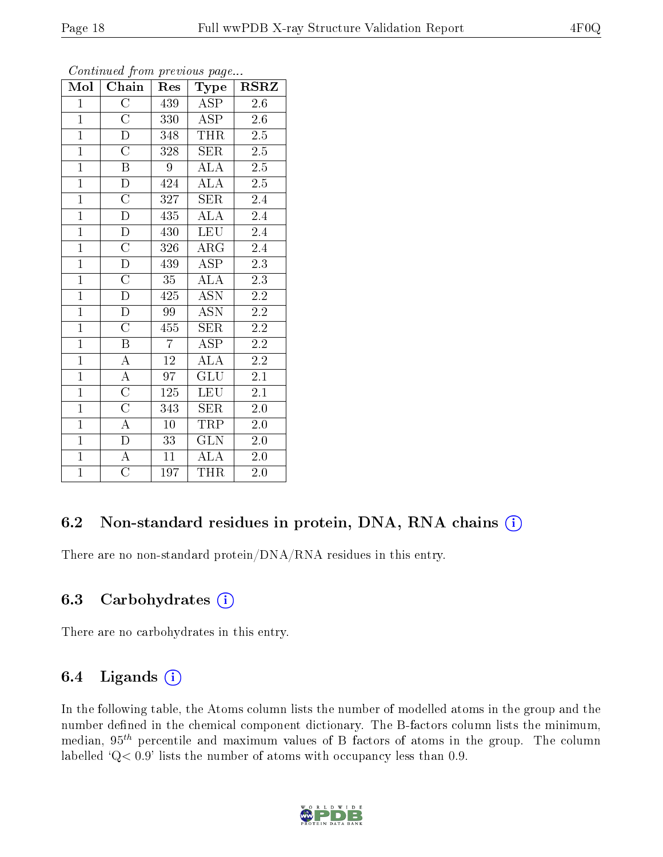|--|--|

| $\overline{\text{Mol}}$ | $\overline{\text{Chain}}$ | Res             | Type                    | <b>RSRZ</b>      |  |
|-------------------------|---------------------------|-----------------|-------------------------|------------------|--|
| $\mathbf{1}$            | $\overline{\rm C}$        | 439             | ASP                     | $2.6\,$          |  |
| $\mathbf{1}$            | $\overline{\rm C}$        | 330             | $\overline{\rm ASP}$    | $2.6\,$          |  |
| $\overline{1}$          | $\overline{\rm D}$        | 348             | <b>THR</b>              | $\overline{2.5}$ |  |
| $\overline{1}$          | $\overline{\text{C}}$     | 328             | <b>SER</b>              | $\overline{2.5}$ |  |
| $\overline{1}$          | $\overline{\mathrm{B}}$   | 9               | $\overline{\rm ALA}$    | $\overline{2.5}$ |  |
| $\overline{1}$          | $\overline{D}$            | 424             | <b>ALA</b>              | $\overline{2.5}$ |  |
| $\overline{1}$          | $\overline{\rm C}$        | 327             | <b>SER</b>              | 2.4              |  |
| $\overline{1}$          | $\overline{\rm D}$        | 435             | <b>ALA</b>              | $\overline{2.4}$ |  |
| $\mathbf{1}$            | ${\rm D}$                 | 430             | <b>LEU</b>              | 2.4              |  |
| $\overline{1}$          | $\overline{\rm C}$        | 326             | $\overline{\rm{ARG}}$   | $\overline{2.4}$ |  |
| $\overline{1}$          | $\overline{\rm D}$        | 439             | <b>ASP</b>              | 2.3              |  |
| $\overline{1}$          | $\overline{C}$            | $\overline{35}$ | $\overline{\rm ALA}$    | $2.3\,$          |  |
| $\overline{1}$          | $\overline{\mathrm{D}}$   | 425             | <b>ASN</b>              | $2.2\,$          |  |
| $\overline{1}$          | $\overline{D}$            | 99              | <b>ASN</b>              | $2.2\,$          |  |
| $\overline{1}$          | $\overline{\rm C}$        | 455             | SER                     | $2.2\,$          |  |
| $\overline{1}$          | B                         | $\overline{7}$  | ASP                     | $2.2\,$          |  |
| $\overline{1}$          | $\overline{\rm A}$        | $\overline{12}$ | $\overline{\rm ALA}$    | $2.2\,$          |  |
| $\overline{1}$          | $\overline{A}$            | 97              | <b>GLU</b>              | $2.\overline{1}$ |  |
| $\overline{1}$          | $\overline{\rm C}$        | 125             | <b>LEU</b>              | $2.1\,$          |  |
| $\overline{1}$          | $\overline{\rm C}$        | 343             | <b>SER</b>              | $2.0\,$          |  |
| $\overline{1}$          | $\overline{A}$            | 10              | TRP                     | 2.0              |  |
| $\overline{1}$          | $\overline{\rm D}$        | 33              | $\overline{\text{GLN}}$ | $2.0\,$          |  |
| $\overline{1}$          | $\overline{A}$            | 11              | <b>ALA</b>              | 2.0              |  |
| $\overline{1}$          | $\overline{\rm C}$        | 197             | <b>THR</b>              | 2.0              |  |

#### 6.2 Non-standard residues in protein, DNA, RNA chains  $(i)$

There are no non-standard protein/DNA/RNA residues in this entry.

#### 6.3 Carbohydrates  $(i)$

There are no carbohydrates in this entry.

#### 6.4 Ligands  $(i)$

In the following table, the Atoms column lists the number of modelled atoms in the group and the number defined in the chemical component dictionary. The B-factors column lists the minimum, median,  $95<sup>th</sup>$  percentile and maximum values of B factors of atoms in the group. The column labelled  $Q< 0.9$ ' lists the number of atoms with occupancy less than 0.9.